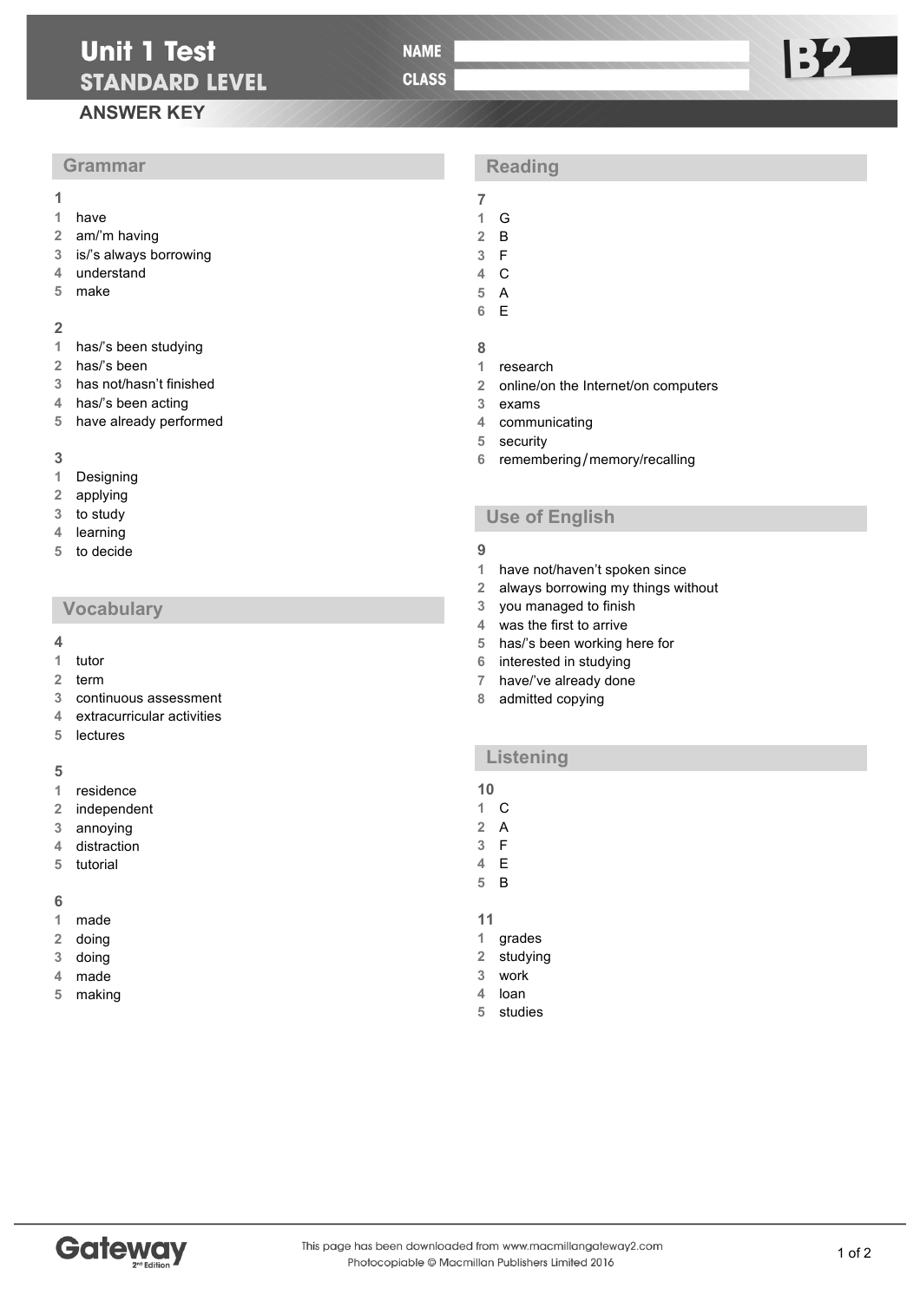# **Unit 1 Test STANDARD LEVEL**

**NAME** 

**CLASS** 

# **ANSWER KEY**

# **Grammar**

- 
- have
- am/'m having
- is/'s always borrowing
- understand
- make

#### 

- has/'s been studying
- has/'s been
- has not/hasn't finished
- has/'s been acting
- have already performed

#### 

- Designing
- applying
- to study
- learning
- to decide

## **Vocabulary**

#### 

- tutor
- term
- continuous assessment
- extracurricular activities
- lectures

## 

- residence
- independent
- annoying
- distraction
- tutorial

### 

- made
- doing
- doing
- made
- making

# **Reading**

- 
- G B
- F
- C
- A
- E
- 
- research
- online/on the Internet/on computers
- exams
- communicating
- security
- remembering/memory/recalling

# **Use of English**

#### 

- have not/haven't spoken since
- always borrowing my things without
	- you managed to finish
	- was the first to arrive
	- has/'s been working here for
	- interested in studying
	- have/'ve already done
	- admitted copying

## **Listening**

# 

- C
- A F
- E
- B

#### 

- grades
- studying
- work
- loan
- studies